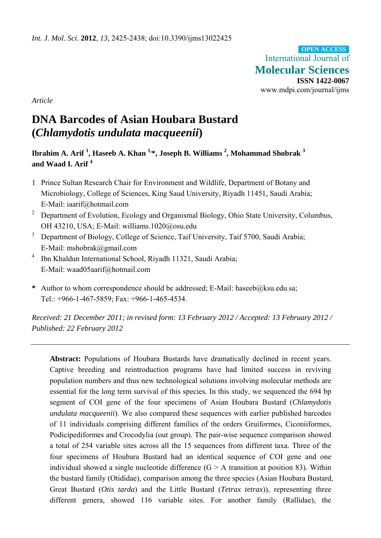International Journal of **Molecular Sciences ISSN 1422-0067**  www.mdpi.com/journal/ijms **OPEN ACCESS**

*Article* 

# **DNA Barcodes of Asian Houbara Bustard (***Chlamydotis undulata macqueenii***)**

 $\bf I$ brahim A. Arif  $^1$ , Haseeb A. Khan  $^{1,\ast}$ , Joseph B. Williams  $^2$ , Mohammad Shobrak  $^3$ **and Waad I. Arif <sup>4</sup>** 

- 1 Prince Sultan Research Chair for Environment and Wildlife, Department of Botany and Microbiology, College of Sciences, King Saud University, Riyadh 11451, Saudi Arabia; E-Mail: iaarif@hotmail.com
- 2 Department of Evolution, Ecology and Organismal Biology, Ohio State University, Columbus, OH 43210, USA; E-Mail: williams.1020@osu.edu
- 3 Department of Biology, College of Science, Taif University, Taif 5700, Saudi Arabia; E-Mail: mshobrak@gmail.com
- 4 Ibn Khaldun International School, Riyadh 11321, Saudi Arabia; E-Mail: waad05aarif@hotmail.com
- **\*** Author to whom correspondence should be addressed; E-Mail: haseeb@ksu.edu.sa; Tel.: +966-1-467-5859; Fax: +966-1-465-4534.

*Received: 21 December 2011; in revised form: 13 February 2012 / Accepted: 13 February 2012 / Published: 22 February 2012* 

**Abstract:** Populations of Houbara Bustards have dramatically declined in recent years. Captive breeding and reintroduction programs have had limited success in reviving population numbers and thus new technological solutions involving molecular methods are essential for the long term survival of this species. In this study, we sequenced the 694 bp segment of COI gene of the four specimens of Asian Houbara Bustard (*Chlamydotis undulata macqueenii*). We also compared these sequences with earlier published barcodes of 11 individuals comprising different families of the orders Gruiformes, Ciconiiformes, Podicipediformes and Crocodylia (out group). The pair-wise sequence comparison showed a total of 254 variable sites across all the 15 sequences from different taxa. Three of the four specimens of Houbara Bustard had an identical sequence of COI gene and one individual showed a single nucleotide difference  $(G > A)$  transition at position 83). Within the bustard family (Otididae), comparison among the three species (Asian Houbara Bustard, Great Bustard (*Otis tarda*) and the Little Bustard (*Tetrax tetrax*)), representing three different genera, showed 116 variable sites. For another family (Rallidae), the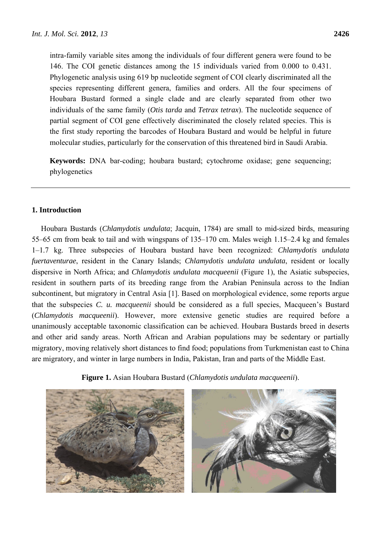intra-family variable sites among the individuals of four different genera were found to be 146. The COI genetic distances among the 15 individuals varied from 0.000 to 0.431. Phylogenetic analysis using 619 bp nucleotide segment of COI clearly discriminated all the species representing different genera, families and orders. All the four specimens of Houbara Bustard formed a single clade and are clearly separated from other two individuals of the same family (*Otis tarda* and *Tetrax tetrax*). The nucleotide sequence of partial segment of COI gene effectively discriminated the closely related species. This is the first study reporting the barcodes of Houbara Bustard and would be helpful in future molecular studies, particularly for the conservation of this threatened bird in Saudi Arabia.

**Keywords:** DNA bar-coding; houbara bustard; cytochrome oxidase; gene sequencing; phylogenetics

# **1. Introduction**

Houbara Bustards (*Chlamydotis undulata*; Jacquin, 1784) are small to mid-sized birds, measuring 55–65 cm from beak to tail and with wingspans of 135–170 cm. Males weigh 1.15–2.4 kg and females 1–1.7 kg. Three subspecies of Houbara bustard have been recognized: *Chlamydotis undulata fuertaventurae*, resident in the Canary Islands; *Chlamydotis undulata undulata*, resident or locally dispersive in North Africa; and *Chlamydotis undulata macqueenii* (Figure 1), the Asiatic subspecies, resident in southern parts of its breeding range from the Arabian Peninsula across to the Indian subcontinent, but migratory in Central Asia [1]. Based on morphological evidence, some reports argue that the subspecies *C. u. macqueenii* should be considered as a full species, Macqueen's Bustard (*Chlamydotis macqueenii*). However, more extensive genetic studies are required before a unanimously acceptable taxonomic classification can be achieved. Houbara Bustards breed in deserts and other arid sandy areas. North African and Arabian populations may be sedentary or partially migratory, moving relatively short distances to find food; populations from Turkmenistan east to China are migratory, and winter in large numbers in India, Pakistan, Iran and parts of the Middle East.

**Figure 1.** Asian Houbara Bustard (*Chlamydotis undulata macqueenii*).

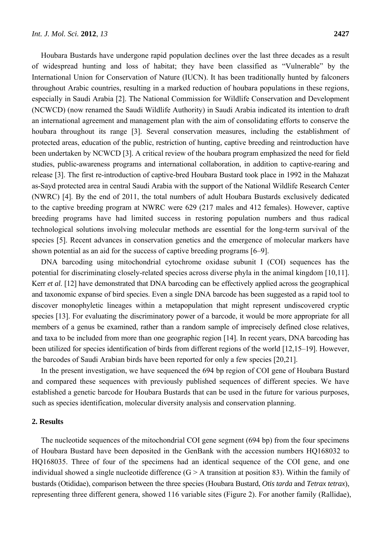Houbara Bustards have undergone rapid population declines over the last three decades as a result of widespread hunting and loss of habitat; they have been classified as "Vulnerable" by the International Union for Conservation of Nature (IUCN). It has been traditionally hunted by falconers throughout Arabic countries, resulting in a marked reduction of houbara populations in these regions, especially in Saudi Arabia [2]. The National Commission for Wildlife Conservation and Development (NCWCD) (now renamed the Saudi Wildlife Authority) in Saudi Arabia indicated its intention to draft an international agreement and management plan with the aim of consolidating efforts to conserve the houbara throughout its range [3]. Several conservation measures, including the establishment of protected areas, education of the public, restriction of hunting, captive breeding and reintroduction have been undertaken by NCWCD [3]. A critical review of the houbara program emphasized the need for field studies, public-awareness programs and international collaboration, in addition to captive-rearing and release [3]. The first re-introduction of captive-bred Houbara Bustard took place in 1992 in the Mahazat as-Sayd protected area in central Saudi Arabia with the support of the National Wildlife Research Center (NWRC) [4]. By the end of 2011, the total numbers of adult Houbara Bustards exclusively dedicated to the captive breeding program at NWRC were 629 (217 males and 412 females). However, captive breeding programs have had limited success in restoring population numbers and thus radical technological solutions involving molecular methods are essential for the long-term survival of the species [5]. Recent advances in conservation genetics and the emergence of molecular markers have shown potential as an aid for the success of captive breeding programs [6–9].

DNA barcoding using mitochondrial cytochrome oxidase subunit I (COI) sequences has the potential for discriminating closely-related species across diverse phyla in the animal kingdom [10,11]. Kerr *et al*. [12] have demonstrated that DNA barcoding can be effectively applied across the geographical and taxonomic expanse of bird species. Even a single DNA barcode has been suggested as a rapid tool to discover monophyletic lineages within a metapopulation that might represent undiscovered cryptic species [13]. For evaluating the discriminatory power of a barcode, it would be more appropriate for all members of a genus be examined, rather than a random sample of imprecisely defined close relatives, and taxa to be included from more than one geographic region [14]. In recent years, DNA barcoding has been utilized for species identification of birds from different regions of the world [12,15–19]. However, the barcodes of Saudi Arabian birds have been reported for only a few species [20,21].

In the present investigation, we have sequenced the 694 bp region of COI gene of Houbara Bustard and compared these sequences with previously published sequences of different species. We have established a genetic barcode for Houbara Bustards that can be used in the future for various purposes, such as species identification, molecular diversity analysis and conservation planning.

## **2. Results**

The nucleotide sequences of the mitochondrial COI gene segment (694 bp) from the four specimens of Houbara Bustard have been deposited in the GenBank with the accession numbers HQ168032 to HQ168035. Three of four of the specimens had an identical sequence of the COI gene, and one individual showed a single nucleotide difference  $(G > A)$  transition at position 83). Within the family of bustards (Otididae), comparison between the three species (Houbara Bustard, *Otis tarda* and *Tetrax tetrax*), representing three different genera, showed 116 variable sites (Figure 2). For another family (Rallidae),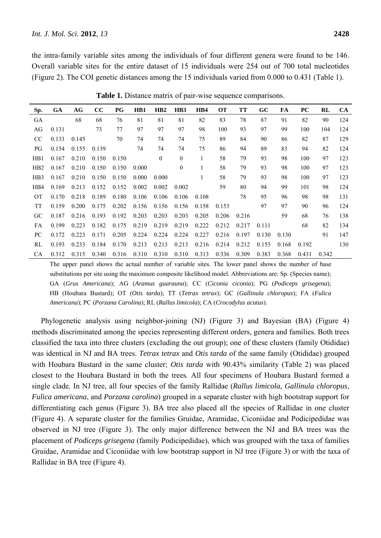the intra-family variable sites among the individuals of four different genera were found to be 146. Overall variable sites for the entire dataset of 15 individuals were 254 out of 700 total nucleotides (Figure 2). The COI genetic distances among the 15 individuals varied from 0.000 to 0.431 (Table 1).

| Sp.             | GA    | AG    | cc    | PG    | HB1   | HB2          | H <sub>B</sub> 3 | HB4          | <b>OT</b> | TT    | GC    | FA    | <b>PC</b> | RL    | <b>CA</b> |
|-----------------|-------|-------|-------|-------|-------|--------------|------------------|--------------|-----------|-------|-------|-------|-----------|-------|-----------|
| GA              |       | 68    | 68    | 76    | 81    | 81           | 81               | 82           | 83        | 78    | 87    | 91    | 82        | 90    | 124       |
| AG              | 0.131 |       | 73    | 77    | 97    | 97           | 97               | 98           | 100       | 93    | 97    | 99    | 100       | 104   | 124       |
| CC              | 0.133 | 0.145 |       | 70    | 74    | 74           | 74               | 75           | 89        | 84    | 90    | 86    | 82        | 87    | 129       |
| PG              | 0.154 | 0.155 | 0.139 |       | 74    | 74           | 74               | 75           | 86        | 94    | 89    | 83    | 94        | 82    | 124       |
| HB1             | 0.167 | 0.210 | 0.150 | 0.150 |       | $\mathbf{0}$ | $\mathbf{0}$     | $\mathbf{1}$ | 58        | 79    | 93    | 98    | 100       | 97    | 123       |
| HB <sub>2</sub> | 0.167 | 0.210 | 0.150 | 0.150 | 0.000 |              | $\mathbf{0}$     |              | 58        | 79    | 93    | 98    | 100       | 97    | 123       |
| HB3             | 0.167 | 0.210 | 0.150 | 0.150 | 0.000 | 0.000        |                  |              | 58        | 79    | 93    | 98    | 100       | 97    | 123       |
| HB4             | 0.169 | 0.213 | 0.152 | 0.152 | 0.002 | 0.002        | 0.002            |              | 59        | 80    | 94    | 99    | 101       | 98    | 124       |
| <b>OT</b>       | 0.170 | 0.218 | 0.189 | 0.180 | 0.106 | 0.106        | 0.106            | 0.108        |           | 78    | 95    | 96    | 98        | 98    | 131       |
| <b>TT</b>       | 0.159 | 0.200 | 0.175 | 0.202 | 0.156 | 0.156        | 0.156            | 0.158        | 0.153     |       | 97    | 97    | 90        | 96    | 124       |
| GC.             | 0.187 | 0.216 | 0.193 | 0.192 | 0.203 | 0.203        | 0.203            | 0.205        | 0.206     | 0.216 |       | 59    | 68        | 76    | 138       |
| FA              | 0.199 | 0.223 | 0.182 | 0.175 | 0.219 | 0.219        | 0.219            | 0.222        | 0.212     | 0.217 | 0.111 |       | 68        | 82    | 134       |
| PC              | 0.172 | 0.223 | 0.171 | 0.205 | 0.224 | 0.224        | 0.224            | 0.227        | 0.216     | 0.197 | 0.130 | 0.130 |           | 91    | 147       |
| RL              | 0.193 | 0.233 | 0.184 | 0.170 | 0.213 | 0.213        | 0.213            | 0.216        | 0.214     | 0.212 | 0.153 | 0.168 | 0.192     |       | 130       |
| CA.             | 0.312 | 0.315 | 0.340 | 0.316 | 0.310 | 0.310        | 0.310            | 0.313        | 0.336     | 0.309 | 0.383 | 0.368 | 0.431     | 0.342 |           |

**Table 1.** Distance matrix of pair-wise sequence comparisons.

The upper panel shows the actual number of variable sites. The lower panel shows the number of base substitutions per site using the maximum composite likelihood model. Abbreviations are: Sp. (Species name); GA (*Grus Americana*); AG (*Aramus guarauna*); CC (*Ciconia ciconia*); PG (*Podiceps grisegena*); HB (Houbara Bustard); OT (*Otis tarda*); TT (*Tetrax tetrax*); GC (*Gallinula chloropus*); FA (*Fulica Americana*); PC (*Porzana Carolina*); RL (*Rallus limicola*); CA (*Crocodylus acutus*).

Phylogenetic analysis using neighbor-joining (NJ) (Figure 3) and Bayesian (BA) (Figure 4) methods discriminated among the species representing different orders, genera and families. Both trees classified the taxa into three clusters (excluding the out group); one of these clusters (family Otididae) was identical in NJ and BA trees. *Tetrax tetrax* and *Otis tarda* of the same family (Otididae) grouped with Houbara Bustard in the same cluster; *Otis tarda* with 90.43% similarity (Table 2) was placed closest to the Houbara Bustard in both the trees. All four specimens of Houbara Bustard formed a single clade. In NJ tree, all four species of the family Rallidae (*Rallus limicola*, *Gallinula chloropus*, *Fulica americana*, and *Porzana carolina*) grouped in a separate cluster with high bootstrap support for differentiating each genus (Figure 3). BA tree also placed all the species of Rallidae in one cluster (Figure 4). A separate cluster for the families Gruidae, Aramidae, Ciconiidae and Podicipedidae was observed in NJ tree (Figure 3). The only major difference between the NJ and BA trees was the placement of *Podiceps grisegena* (family Podicipedidae), which was grouped with the taxa of families Gruidae, Aramidae and Ciconiidae with low bootstrap support in NJ tree (Figure 3) or with the taxa of Rallidae in BA tree (Figure 4).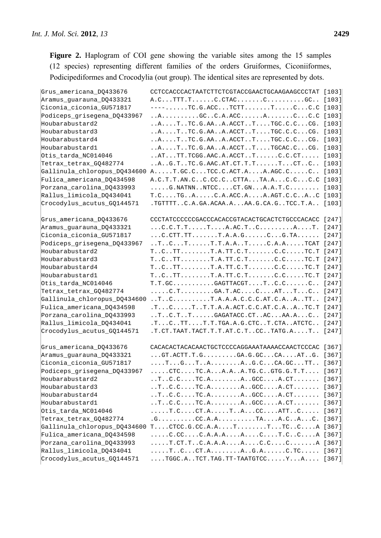Figure 2. Haplogram of COI gene showing the variable sites among the 15 samples (12 species) representing different families of the orders Gruiformes, Ciconiiformes, Podicipediformes and Crocodylia (out group). The identical sites are represented by dots.

| Grus_americana_DQ433676      | CCTCCACCCACTAATCTTCTCGTACCGAACTGCAAGAAGCCCTAT [103]                                                                                                    |         |
|------------------------------|--------------------------------------------------------------------------------------------------------------------------------------------------------|---------|
| Aramus_guarauna_DQ433321     |                                                                                                                                                        |         |
| Ciconia_ciconia_GU571817     | $---$ TC.G.ACCTCTTTCC.C [103]                                                                                                                          |         |
| Podiceps_grisegena_DQ433967  | $\ldots$ A $\ldots$ GCC.A.ACCA $\ldots$ .CC.C [103]                                                                                                    |         |
| Houbarabustard2              | ATTC.G.AAA.ACCTTTGC.C.CCG. [103]                                                                                                                       |         |
| Houbarabustard3              | $\ldots A \ldots T \ldots T C \ldotp G \ldotp A A \ldotp A \ldotp A C C T \ldotp T \ldots T G C \ldotp C \ldotp C \ldotp \ldotp C G \ldotp$            | $[103]$ |
| Houbarabustard4              | ATTC.G.AAA.ACCTTTGC.C.CCG. [103]                                                                                                                       |         |
| Houbarabustard1              | $\ldots$ A $\ldots$ T. $\ldots$ TC. G. AA A. ACCT. $\ldots$ T TGCAC. C CG.                                                                             | [103]   |
| Otis_tarda_NC014046          | $\ldots$ ATTT.TCGG.AAC.A.ACCTTC.C.CT                                                                                                                   | [103]   |
| Tetrax_tetrax_GQ482774       | $\ldots$ A. $\ldots$ G.T. $\ldots$ TC.G. AAC. AT. $CT$ . T. $\ldots$ . T. $CT$ . $CT$ $C$                                                              | $[103]$ |
| Gallinula_chloropus_DQ434600 | AT.GC.CTCC.C.ACT.AA.AGC.CC [103]                                                                                                                       |         |
| Fulica_americana_DQ434598    | A.C.T.T.AN.CC.CC.CCTTATA.AC.CC.C [103]                                                                                                                 |         |
| Porzana_carolina_DQ433993    | $\dots$ .G. NATNN. . NTCCCT.GNA.A.T.C [103]                                                                                                            |         |
| Rallus_limicola_DQ434041     | T.CTGAC.A.ACC.AA.AGT.C.CAC [103]                                                                                                                       |         |
| Crocodylus_acutus_GQ144571   | . TGTTTTC.A.GA.ACAA.AAA.G.CA.GTCC.T.A [103]                                                                                                            |         |
| Grus_americana_DQ433676      | CCCTATCCCCCCGACCCACACCGTACACTGCACTCTGCCCACACC [247]                                                                                                    |         |
| Aramus quarauna DQ433321     |                                                                                                                                                        |         |
| Ciconia_ciconia_GU571817     | $\ldots$ . C.CTT.TT $\ldots$ . T.A.A.G. $\ldots$ . C . G.TA [247]                                                                                      |         |
| Podiceps_grisegena_DQ433967  | $\dots$ TCTT.T.A.ATC.A.ATCAT [247]                                                                                                                     |         |
| Houbarabustard2              |                                                                                                                                                        |         |
| Houbarabustard3              | $TCTTT.A.TT.C.TC.CTC.T [247]$                                                                                                                          |         |
| Houbarabustard4              | $TCTTT.A.TT.C.TC.CTC.T [247]$                                                                                                                          |         |
| Houbarabustard1              | $TCTTT.A.TT.C.TC.CTC.T [247]$                                                                                                                          |         |
| Otis_tarda_NC014046          | $T.T.GC.\ldots\ldots\ldots GAGTTACGT\ldots\ldots C.C\ldots\ldots C.$ [247]                                                                             |         |
| Tetrax_tetrax_GQ482774       | $\ldots$ .C.T. $\ldots$ GA.T.ACCATTC [247]                                                                                                             |         |
| Gallinula_chloropus_DQ434600 | $\ldots$ TCT.A.A.A.C.C.C.AT.C.AATT [247]                                                                                                               |         |
| Fulica_americana_DQ434598    | .TCTT.T.A.A.ACT.C.C.AT.C.AATC.T [247]                                                                                                                  |         |
| Porzana_carolina_DQ433993    | $\ldots$ TC.TTGAGATACC.CTACAA.AC [247]                                                                                                                 |         |
| Rallus_limicola_DQ434041     | $.TCTTT.T.T.T.GA.A.G.CTCT.CTAATCTC [247]$                                                                                                              |         |
| Crocodylus_acutus_GQ144571   | .T.CT.TAAT.TACT.T.T.AT.C.TCCTATG.AT [247]                                                                                                              |         |
| Grus_americana_DQ433676      | CACACACTACACAACTGCTCCCCAGGAAATAAAACCAACTCCCAC [367]                                                                                                    |         |
| Aramus quarauna DQ433321     | $\ldots$ GT.ACTT.T.GGA.G.GCCAATG. [367]                                                                                                                |         |
| Ciconia_ciconia_GU571817     |                                                                                                                                                        |         |
| Podiceps_grisegena_DQ433967  | $\ldots$ . CTCTC.AA.AA.TG.CGTG.G.T.T [367]                                                                                                             |         |
| Houbarabustard2              | $\ldots$ T. $\ldots$ C.C. $\ldots$ . TC. A. $\ldots$ A. . GCC. $\ldots$                                                                                | [367]   |
| Houbarabustard3              | $\ldots$ T $\ldots$ C $\ldots$ $\ldots$ TC $\ldots$ $\ldots$ $\ldots$ $\ldots$ $\ldots$ $\ldots$ $\ldots$ $\ldots$ $\ldots$ $\ldots$ $\ldots$ $\ldots$ | [367]   |
| Houbarabustard4              | $\ldots$ T. $\ldots$ C.C. $\ldots$ . TC. A. $\ldots$ . $\ldots$ . A. GCC. $\ldots$ . A. CT. $\ldots$                                                   | [367]   |
| Houbarabustard1              | $\ldots$ T. $\ldots$ C.C. $\ldots$ . TC. A. $\ldots$ . $\ldots$ . A. GCC. $\ldots$ . A. CT. $\ldots$                                                   | [367]   |
| Otis_tarda_NC014046          | $\ldots$ . T.CCT.ATACCATTC                                                                                                                             | [367]   |
| Tetrax_tetrax_GQ482774       | $.G. \ldots \ldots \ldots CC.A.A. \ldots \ldots \ldots TA \ldots A.C \ldots A \ldots C.$                                                               | [367]   |
| Gallinula_chloropus_DQ434600 | $T \ldots$ . CTCC.G.CC.A.A $T \ldots$ $T \ldots$ $TC \ldots$ C $A$                                                                                     | [367]   |
| Fulica_americana_DQ434598    | $\ldots$ .C.CCC.A.A.AACT.CCA [367]                                                                                                                     |         |
| Porzana_carolina_DQ433993    | $\ldots$ . T.CT.T. C.A.A.A. $\dots$ .A. $\ldots$ .C.C. $\ldots$ .C. $\ldots$ . A [367]                                                                 |         |
| Rallus_limicola_DQ434041     |                                                                                                                                                        |         |
| Crocodylus_acutus_GQ144571   | $\ldots$ . TGGC.ATCT.TAG.TT-TAATGTCC $Y \ldots A \ldots$ [367]                                                                                         |         |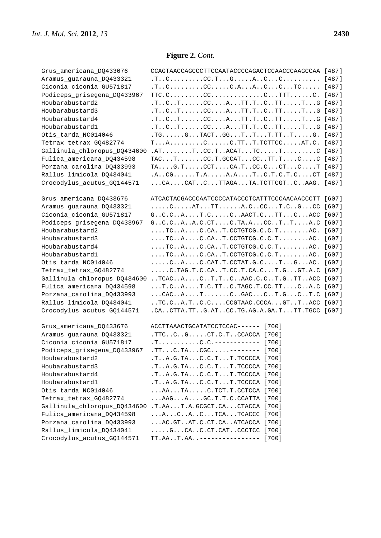| Grus americana DO433676      | CCAGTAACCAGCCCTTCCAATACCCCAGACTCCAACCCAAGCCAA [487]                                                  |         |
|------------------------------|------------------------------------------------------------------------------------------------------|---------|
| Aramus_guarauna_DQ433321     |                                                                                                      |         |
| Ciconia_ciconia_GU571817     | $.TC$ CCC.AACCTC [487]                                                                               |         |
| Podiceps_grisegena_DQ433967  |                                                                                                      |         |
| Houbarabustard2              | $.T. C. T. T. \ldots. CC. A. T T. T. C. . T T. T. G [487]$                                           |         |
| Houbarabustard3              | .TCTCCATT.TCTTTG [487]                                                                               |         |
| Houbarabustard4              | .TCTCCATT.TCTTTG [487]                                                                               |         |
| Houbarabustard1              | .TCTCCATT.TCTTTG [487]                                                                               |         |
| Otis_tarda_NC014046          | .TGGTACTGGTTT.TTTG. [487]                                                                            |         |
| Tetrax_tetrax_GQ482774       | $TACC.TTT.T.TCTTCCAT.C. [487]$                                                                       |         |
| Gallinula_chloropus_DQ434600 |                                                                                                      |         |
| Fulica_americana_DQ434598    | $TAC \ldots T \ldots \ldots CC \ldots GC \text{GCAT} \ldots CC \ldots TT \ldots C \ldots CC \ [487]$ |         |
| Porzana_carolina_DQ433993    | $TAG.TCCTCA.TCC.CCTCT [487]$                                                                         |         |
| Rallus_limicola_DQ434041     | .A. . CG. T.A. A.A. T. . C. T. C. T. C. CT [487]                                                     |         |
| Crocodylus_acutus_GQ144571   | CACATCTTAGATA.TCTTCGTCAAG. [487]                                                                     |         |
|                              |                                                                                                      |         |
| Grus_americana_DQ433676      | ATCACTACGACCCAATCCCCATACCCTCATTTCCCAACAACCCTT [607]                                                  |         |
| Aramus_guarauna_DQ433321     | CATTTA.CCCT.CGCC [607]                                                                               |         |
| Ciconia_ciconia_GU571817     | GC.CAT.CCAACT.CTTCACC [607]                                                                          |         |
| Podiceps_grisegena_DQ433967  |                                                                                                      |         |
| Houbarabustard2              | $\ldots$ . TC A . C.CA T. CCTGTCG. C.C. T . AC. [607]                                                |         |
| Houbarabustard3              | $\ldots$ . TC. . A. $\ldots$ . C. CA. . T. CCTGTCG. C. C. T. $\ldots$ . AC. [607]                    |         |
| Houbarabustard4              | $\ldots$ . TC. $A$ . $\ldots$ . C. CA. $\ldots$ . CCTGTCG. C. C. T. $\ldots$ . AC.                   | $[607]$ |
| Houbarabustard1              | $\ldots$ . TC. $\ldots$ . C. CA. . T. CCTGTCG. C. C. T. $\ldots$ . AC.                               | [607]   |
| Otis_tarda_NC014046          | $\ldots$ . C. . A. $\ldots$ . C. CAT. T. CCTAT. G. C. $\ldots$ . T. $\ldots$ . G. $\ldots$ . AC.     | $[607]$ |
| Tetrax_tetrax_GQ482774       | C. TAG. T. C. CA. . T. CC. T. CA. C T. G GT. A. C [607]                                              |         |
| Gallinula_chloropus_DQ434600 | TCAC A C T. T C AAC. C. C T. G TT ACC [607]                                                          |         |
| Fulica_americana_DQ434598    | $\ldots$ T.CAT.C.TTC.TAGC.T.CC.TTCA.C                                                                | [607]   |
| Porzana_carolina_DQ433993    | CACATCGACCT.GCT.C [607]                                                                              |         |
| Rallus_limicola_DQ434041     | TC.CA.TC.CCCGTAAC.CCCAGTTACC [607]                                                                   |         |
| Crocodylus_acutus_GQ144571   | .CACTTA.TTG.ATCC.TG.AG.A.GA.TTT.TGCC [607]                                                           |         |
|                              |                                                                                                      |         |
| Grus americana DQ433676      | ACCTTAAACTGCATATCCTCCAC------ [700]                                                                  |         |
| Aramus quarauna DQ433321     | .TTCCGCT.C.TCCACCA [700]                                                                             |         |
| Ciconia_ciconia_GU571817     | $.T. \ldots \ldots \ldots \ldots C.C. \ldots \ldots \ldots \ldots \ldots$ [700]                      |         |
| Podiceps_grisegena_DQ433967  | . TTC. TACGC-------- [700]                                                                           |         |
| Houbarabustard2              | .TA.G.TAC.C.TT.TCCCCA [700]                                                                          |         |
| Houbarabustard3              | .TA.G.TAC.C.TT.TCCCCA [700]                                                                          |         |
| Houbarabustard4              | .TA.G.TAC.C.TT.T.CCCCA [700]                                                                         |         |
| Houbarabustard1              | .TA.G.TAC.C.TT.TCCCCA [700]                                                                          |         |
| Otis_tarda_NC014046          | $\ldots$ AA $\ldots$ TA $\ldots$ . C. TCT. T. CCTCCA [700]                                           |         |
| Tetrax_tetrax_GQ482774       | AAG A . GC. T. T. C. CCATTA [700]                                                                    |         |
| Gallinula_chloropus_DQ434600 | .T.AAT.A.GCGCT.CACTACCA [700]                                                                        |         |
| Fulica_americana_DQ434598    | ACACTCATCACCC [700]                                                                                  |         |
| Porzana_carolina_DQ433993    | AC.GTAT.C.CT.CAATCACCA [700]                                                                         |         |
| Rallus_limicola_DQ434041     |                                                                                                      |         |
| Crocodylus_acutus_GQ144571   | TT.AAT.AA---------------- [700]                                                                      |         |
|                              |                                                                                                      |         |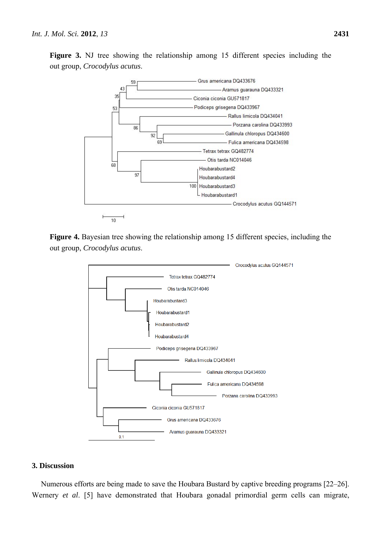

**Figure 3.** NJ tree showing the relationship among 15 different species including the out group, *Crocodylus acutus*.

**Figure 4.** Bayesian tree showing the relationship among 15 different species, including the out group, *Crocodylus acutus*.



## **3. Discussion**

Numerous efforts are being made to save the Houbara Bustard by captive breeding programs [22–26]. Wernery *et al*. [5] have demonstrated that Houbara gonadal primordial germ cells can migrate,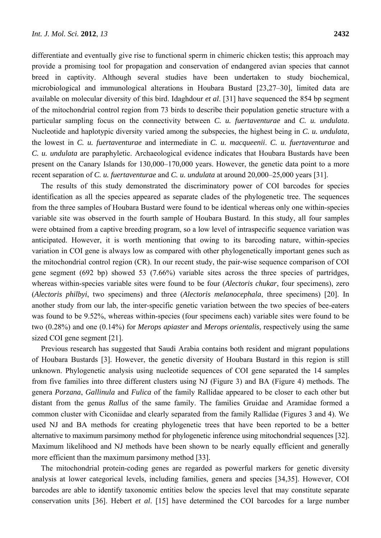differentiate and eventually give rise to functional sperm in chimeric chicken testis; this approach may provide a promising tool for propagation and conservation of endangered avian species that cannot breed in captivity. Although several studies have been undertaken to study biochemical, microbiological and immunological alterations in Houbara Bustard [23,27–30], limited data are available on molecular diversity of this bird. Idaghdour *et al*. [31] have sequenced the 854 bp segment of the mitochondrial control region from 73 birds to describe their population genetic structure with a particular sampling focus on the connectivity between *C. u. fuertaventurae* and *C. u. undulata*. Nucleotide and haplotypic diversity varied among the subspecies, the highest being in *C. u. undulata*, the lowest in *C. u. fuertaventurae* and intermediate in *C. u. macqueenii*. *C. u. fuertaventurae* and *C. u. undulata* are paraphyletic. Archaeological evidence indicates that Houbara Bustards have been present on the Canary Islands for 130,000–170,000 years. However, the genetic data point to a more recent separation of *C. u. fuertaventurae* and *C. u. undulata* at around 20,000–25,000 years [31].

The results of this study demonstrated the discriminatory power of COI barcodes for species identification as all the species appeared as separate clades of the phylogenetic tree. The sequences from the three samples of Houbara Bustard were found to be identical whereas only one within-species variable site was observed in the fourth sample of Houbara Bustard. In this study, all four samples were obtained from a captive breeding program, so a low level of intraspecific sequence variation was anticipated. However, it is worth mentioning that owing to its barcoding nature, within-species variation in COI gene is always low as compared with other phylogenetically important genes such as the mitochondrial control region (CR). In our recent study, the pair-wise sequence comparison of COI gene segment (692 bp) showed 53 (7.66%) variable sites across the three species of partridges, whereas within-species variable sites were found to be four (*Alectoris chukar*, four specimens), zero (*Alectoris philbyi*, two specimens) and three (*Alectoris melanocephala*, three specimens) [20]. In another study from our lab, the inter-specific genetic variation between the two species of bee-eaters was found to be 9.52%, whereas within-species (four specimens each) variable sites were found to be two (0.28%) and one (0.14%) for *Merops apiaster* and *Merops orientalis*, respectively using the same sized COI gene segment [21].

Previous research has suggested that Saudi Arabia contains both resident and migrant populations of Houbara Bustards [3]. However, the genetic diversity of Houbara Bustard in this region is still unknown. Phylogenetic analysis using nucleotide sequences of COI gene separated the 14 samples from five families into three different clusters using NJ (Figure 3) and BA (Figure 4) methods. The genera *Porzana*, *Gallinula* and *Fulica* of the family Rallidae appeared to be closer to each other but distant from the genus *Rallus* of the same family. The families Gruidae and Aramidae formed a common cluster with Ciconiidae and clearly separated from the family Rallidae (Figures 3 and 4). We used NJ and BA methods for creating phylogenetic trees that have been reported to be a better alternative to maximum parsimony method for phylogenetic inference using mitochondrial sequences [32]. Maximum likelihood and NJ methods have been shown to be nearly equally efficient and generally more efficient than the maximum parsimony method [33].

The mitochondrial protein-coding genes are regarded as powerful markers for genetic diversity analysis at lower categorical levels, including families, genera and species [34,35]. However, COI barcodes are able to identify taxonomic entities below the species level that may constitute separate conservation units [36]. Hebert *et al*. [15] have determined the COI barcodes for a large number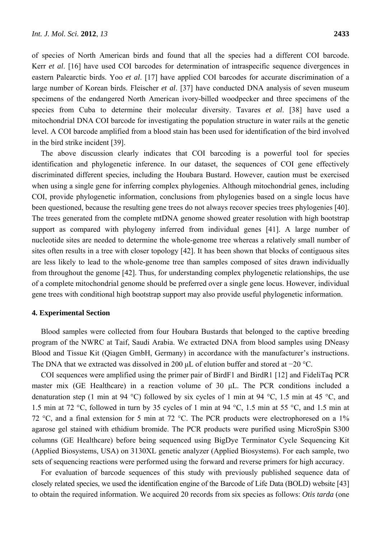of species of North American birds and found that all the species had a different COI barcode. Kerr *et al*. [16] have used COI barcodes for determination of intraspecific sequence divergences in eastern Palearctic birds. Yoo *et al*. [17] have applied COI barcodes for accurate discrimination of a large number of Korean birds. Fleischer *et al*. [37] have conducted DNA analysis of seven museum specimens of the endangered North American ivory-billed woodpecker and three specimens of the species from Cuba to determine their molecular diversity. Tavares *et al*. [38] have used a mitochondrial DNA COI barcode for investigating the population structure in water rails at the genetic level. A COI barcode amplified from a blood stain has been used for identification of the bird involved in the bird strike incident [39].

The above discussion clearly indicates that COI barcoding is a powerful tool for species identification and phylogenetic inference. In our dataset, the sequences of COI gene effectively discriminated different species, including the Houbara Bustard. However, caution must be exercised when using a single gene for inferring complex phylogenies. Although mitochondrial genes, including COI, provide phylogenetic information, conclusions from phylogenies based on a single locus have been questioned, because the resulting gene trees do not always recover species trees phylogenies [40]. The trees generated from the complete mtDNA genome showed greater resolution with high bootstrap support as compared with phylogeny inferred from individual genes [41]. A large number of nucleotide sites are needed to determine the whole-genome tree whereas a relatively small number of sites often results in a tree with closer topology [42]. It has been shown that blocks of contiguous sites are less likely to lead to the whole-genome tree than samples composed of sites drawn individually from throughout the genome [42]. Thus, for understanding complex phylogenetic relationships, the use of a complete mitochondrial genome should be preferred over a single gene locus. However, individual gene trees with conditional high bootstrap support may also provide useful phylogenetic information.

#### **4. Experimental Section**

Blood samples were collected from four Houbara Bustards that belonged to the captive breeding program of the NWRC at Taif, Saudi Arabia. We extracted DNA from blood samples using DNeasy Blood and Tissue Kit (Qiagen GmbH, Germany) in accordance with the manufacturer's instructions. The DNA that we extracted was dissolved in 200 μL of elution buffer and stored at −20 °C.

COI sequences were amplified using the primer pair of BirdF1 and BirdR1 [12] and FideliTaq PCR master mix (GE Healthcare) in a reaction volume of 30 μL. The PCR conditions included a denaturation step (1 min at 94 °C) followed by six cycles of 1 min at 94 °C, 1.5 min at 45 °C, and 1.5 min at 72 °C, followed in turn by 35 cycles of 1 min at 94 °C, 1.5 min at 55 °C, and 1.5 min at 72 °C, and a final extension for 5 min at 72 °C. The PCR products were electrophoresed on a 1% agarose gel stained with ethidium bromide. The PCR products were purified using MicroSpin S300 columns (GE Healthcare) before being sequenced using BigDye Terminator Cycle Sequencing Kit (Applied Biosystems, USA) on 3130XL genetic analyzer (Applied Biosystems). For each sample, two sets of sequencing reactions were performed using the forward and reverse primers for high accuracy.

For evaluation of barcode sequences of this study with previously published sequence data of closely related species, we used the identification engine of the Barcode of Life Data (BOLD) website [43] to obtain the required information. We acquired 20 records from six species as follows: *Otis tarda* (one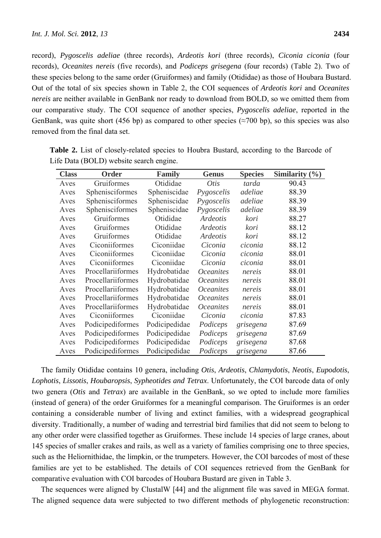record), *Pygoscelis adeliae* (three records), *Ardeotis kori* (three records), *Ciconia ciconia* (four records), *Oceanites nereis* (five records), and *Podiceps grisegena* (four records) (Table 2). Two of these species belong to the same order (Gruiformes) and family (Otididae) as those of Houbara Bustard. Out of the total of six species shown in Table 2, the COI sequences of *Ardeotis kori* and *Oceanites nereis* are neither available in GenBank nor ready to download from BOLD, so we omitted them from our comparative study. The COI sequence of another species, *Pygoscelis adeliae*, reported in the GenBank, was quite short (456 bp) as compared to other species ( $\approx$ 700 bp), so this species was also removed from the final data set.

| <b>Class</b> | <b>Order</b>      | <b>Family</b> | <b>Genus</b>     | <b>Species</b> | Similarity $(\% )$ |
|--------------|-------------------|---------------|------------------|----------------|--------------------|
| Aves         | Gruiformes        | Otididae      | Otis             | tarda          | 90.43              |
| Aves         | Sphenisciformes   | Spheniscidae  | Pygoscelis       | adeliae        | 88.39              |
| Aves         | Sphenisciformes   | Spheniscidae  | Pygoscelis       | adeliae        | 88.39              |
| Aves         | Sphenisciformes   | Spheniscidae  | Pygoscelis       | adeliae        | 88.39              |
| Aves         | Gruiformes        | Otididae      | <b>Ardeotis</b>  | kori           | 88.27              |
| Aves         | Gruiformes        | Otididae      | Ardeotis         | kori           | 88.12              |
| Aves         | Gruiformes        | Otididae      | Ardeotis         | kori           | 88.12              |
| Aves         | Ciconiiformes     | Ciconiidae    | Ciconia          | ciconia        | 88.12              |
| Aves         | Ciconiiformes     | Ciconiidae    | Ciconia          | ciconia        | 88.01              |
| Aves         | Ciconiiformes     | Ciconiidae    | Ciconia          | ciconia        | 88.01              |
| Aves         | Procellariiformes | Hydrobatidae  | <i>Oceanites</i> | nereis         | 88.01              |
| Aves         | Procellariiformes | Hydrobatidae  | <i>Oceanites</i> | nereis         | 88.01              |
| Aves         | Procellariiformes | Hydrobatidae  | <i>Oceanites</i> | nereis         | 88.01              |
| Aves         | Procellariiformes | Hydrobatidae  | <i>Oceanites</i> | nereis         | 88.01              |
| Aves         | Procellariiformes | Hydrobatidae  | <i>Oceanites</i> | nereis         | 88.01              |
| Aves         | Ciconiiformes     | Ciconiidae    | Ciconia          | ciconia        | 87.83              |
| Aves         | Podicipediformes  | Podicipedidae | Podiceps         | grisegena      | 87.69              |
| Aves         | Podicipediformes  | Podicipedidae | Podiceps         | grisegena      | 87.69              |
| Aves         | Podicipediformes  | Podicipedidae | Podiceps         | grisegena      | 87.68              |
| Aves         | Podicipediformes  | Podicipedidae | Podiceps         | grisegena      | 87.66              |

**Table 2.** List of closely-related species to Houbra Bustard, according to the Barcode of Life Data (BOLD) website search engine.

The family Otididae contains 10 genera, including *Otis*, *Ardeotis*, *Chlamydotis*, *Neotis*, *Eupodotis*, *Lophotis*, *Lissotis*, *Houbaropsis*, *Sypheotides and Tetrax*. Unfortunately, the COI barcode data of only two genera (*Otis* and *Tetrax*) are available in the GenBank, so we opted to include more families (instead of genera) of the order Gruiformes for a meaningful comparison. The Gruiformes is an order containing a considerable number of living and extinct families, with a widespread geographical diversity. Traditionally, a number of wading and terrestrial bird families that did not seem to belong to any other order were classified together as Gruiformes. These include 14 species of large cranes, about 145 species of smaller crakes and rails, as well as a variety of families comprising one to three species, such as the Heliornithidae, the limpkin, or the trumpeters. However, the COI barcodes of most of these families are yet to be established. The details of COI sequences retrieved from the GenBank for comparative evaluation with COI barcodes of Houbara Bustard are given in Table 3.

The sequences were aligned by ClustalW [44] and the alignment file was saved in MEGA format. The aligned sequence data were subjected to two different methods of phylogenetic reconstruction: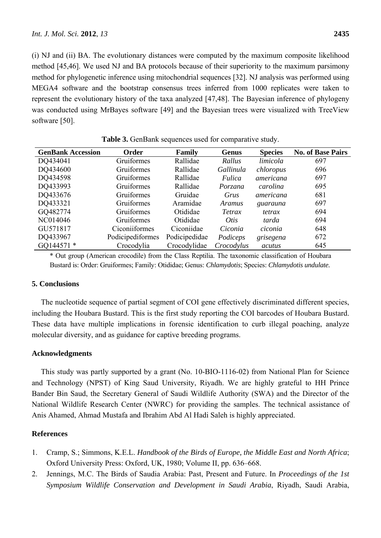(i) NJ and (ii) BA. The evolutionary distances were computed by the maximum composite likelihood method [45,46]. We used NJ and BA protocols because of their superiority to the maximum parsimony method for phylogenetic inference using mitochondrial sequences [32]. NJ analysis was performed using MEGA4 software and the bootstrap consensus trees inferred from 1000 replicates were taken to represent the evolutionary history of the taxa analyzed [47,48]. The Bayesian inference of phylogeny was conducted using MrBayes software [49] and the Bayesian trees were visualized with TreeView software [50].

| <b>GenBank Accession</b> | Order            | Family        | Genus      | <b>Species</b> | <b>No. of Base Pairs</b> |
|--------------------------|------------------|---------------|------------|----------------|--------------------------|
| DQ434041                 | Gruiformes       | Rallidae      | Rallus     | limicola       | 697                      |
| DQ434600                 | Gruiformes       | Rallidae      | Gallinula  | chloropus      | 696                      |
| DQ434598                 | Gruiformes       | Rallidae      | Fulica     | americana      | 697                      |
| DQ433993                 | Gruiformes       | Rallidae      | Porzana    | carolina       | 695                      |
| DQ433676                 | Gruiformes       | Gruidae       | Grus       | americana      | 681                      |
| DQ433321                 | Gruiformes       | Aramidae      | Aramus     | guarauna       | 697                      |
| GQ482774                 | Gruiformes       | Otididae      | Tetrax     | tetrax         | 694                      |
| NC014046                 | Gruiformes       | Otididae      | Otis       | tarda          | 694                      |
| GU571817                 | Ciconiiformes    | Ciconiidae    | Ciconia    | ciconia        | 648                      |
| DQ433967                 | Podicipediformes | Podicipedidae | Podiceps   | grisegena      | 672                      |
| GQ144571 *               | Crocodylia       | Crocodylidae  | Crocodylus | acutus         | 645                      |

Table 3. GenBank sequences used for comparative study.

\* Out group (American crocodile) from the Class Reptilia. The taxonomic classification of Houbara Bustard is: Order: Gruiformes; Family: Otididae; Genus: *Chlamydotis*; Species: *Chlamydotis undulate.*

# **5. Conclusions**

The nucleotide sequence of partial segment of COI gene effectively discriminated different species, including the Houbara Bustard. This is the first study reporting the COI barcodes of Houbara Bustard. These data have multiple implications in forensic identification to curb illegal poaching, analyze molecular diversity, and as guidance for captive breeding programs.

# **Acknowledgments**

This study was partly supported by a grant (No. 10-BIO-1116-02) from National Plan for Science and Technology (NPST) of King Saud University, Riyadh. We are highly grateful to HH Prince Bander Bin Saud, the Secretary General of Saudi Wildlife Authority (SWA) and the Director of the National Wildlife Research Center (NWRC) for providing the samples. The technical assistance of Anis Ahamed, Ahmad Mustafa and Ibrahim Abd Al Hadi Saleh is highly appreciated.

# **References**

- 1. Cramp, S.; Simmons, K.E.L. *Handbook of the Birds of Europe, the Middle East and North Africa*; Oxford University Press: Oxford, UK, 1980; Volume II, pp. 636–668.
- 2. Jennings, M.C. The Birds of Saudia Arabia: Past, Present and Future. In *Proceedings of the 1st Symposium Wildlife Conservation and Development in Saudi Arabia*, Riyadh, Saudi Arabia,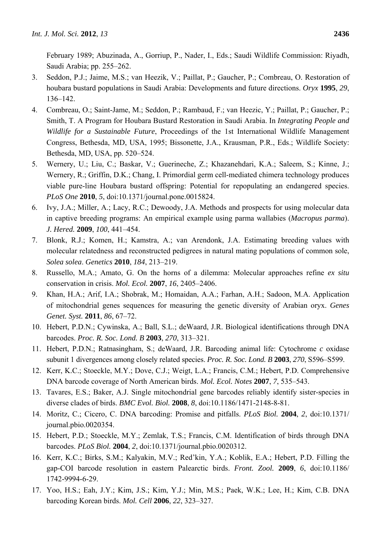February 1989; Abuzinada, A., Gorriup, P., Nader, I., Eds.; Saudi Wildlife Commission: Riyadh, Saudi Arabia; pp. 255–262.

- 3. Seddon, P.J.; Jaime, M.S.; van Heezik, V.; Paillat, P.; Gaucher, P.; Combreau, O. Restoration of houbara bustard populations in Saudi Arabia: Developments and future directions. *Oryx* **1995**, *29*, 136–142.
- 4. Combreau, O.; Saint-Jame, M.; Seddon, P.; Rambaud, F.; van Heezic, Y.; Paillat, P.; Gaucher, P.; Smith, T. A Program for Houbara Bustard Restoration in Saudi Arabia. In *Integrating People and Wildlife for a Sustainable Future*, Proceedings of the 1st International Wildlife Management Congress, Bethesda, MD, USA, 1995; Bissonette, J.A., Krausman, P.R., Eds.; Wildlife Society: Bethesda, MD, USA, pp. 520–524.
- 5. Wernery, U.; Liu, C.; Baskar, V.; Guerineche, Z.; Khazanehdari, K.A.; Saleem, S.; Kinne, J.; Wernery, R.; Griffin, D.K.; Chang, I. Primordial germ cell-mediated chimera technology produces viable pure-line Houbara bustard offspring: Potential for repopulating an endangered species. *PLoS One* **2010**, *5*, doi:10.1371/journal.pone.0015824.
- 6. Ivy, J.A.; Miller, A.; Lacy, R.C.; Dewoody, J.A. Methods and prospects for using molecular data in captive breeding programs: An empirical example using parma wallabies (*Macropus parma*). *J. Hered.* **2009**, *100*, 441–454.
- 7. Blonk, R.J.; Komen, H.; Kamstra, A.; van Arendonk, J.A. Estimating breeding values with molecular relatedness and reconstructed pedigrees in natural mating populations of common sole, *Solea solea*. *Genetics* **2010**, *184*, 213–219.
- 8. Russello, M.A.; Amato, G. On the horns of a dilemma: Molecular approaches refine *ex situ* conservation in crisis. *Mol. Ecol.* **2007**, *16*, 2405–2406.
- 9. Khan, H.A.; Arif, I.A.; Shobrak, M.; Homaidan, A.A.; Farhan, A.H.; Sadoon, M.A. Application of mitochondrial genes sequences for measuring the genetic diversity of Arabian oryx. *Genes Genet. Syst.* **2011**, *86*, 67–72.
- 10. Hebert, P.D.N.; Cywinska, A.; Ball, S.L.; deWaard, J.R. Biological identifications through DNA barcodes. *Proc. R. Soc. Lond. B* **2003**, *270*, 313–321.
- 11. Hebert, P.D.N.; Ratnasingham, S.; deWaard, J.R. Barcoding animal life: Cytochrome *c* oxidase subunit 1 divergences among closely related species. *Proc. R. Soc. Lond. B* **2003**, *270*, S596–S599.
- 12. Kerr, K.C.; Stoeckle, M.Y.; Dove, C.J.; Weigt, L.A.; Francis, C.M.; Hebert, P.D. Comprehensive DNA barcode coverage of North American birds. *Mol. Ecol. Notes* **2007**, *7*, 535–543.
- 13. Tavares, E.S.; Baker, A.J. Single mitochondrial gene barcodes reliably identify sister-species in diverse clades of birds. *BMC Evol. Biol.* **2008**, *8*, doi:10.1186/1471-2148-8-81.
- 14. Moritz, C.; Cicero, C. DNA barcoding: Promise and pitfalls. *PLoS Biol.* **2004**, *2*, doi:10.1371/ journal.pbio.0020354.
- 15. Hebert, P.D.; Stoeckle, M.Y.; Zemlak, T.S.; Francis, C.M. Identification of birds through DNA barcodes. *PLoS Biol.* **2004**, *2*, doi:10.1371/journal.pbio.0020312.
- 16. Kerr, K.C.; Birks, S.M.; Kalyakin, M.V.; Red'kin, Y.A.; Koblik, E.A.; Hebert, P.D. Filling the gap-COI barcode resolution in eastern Palearctic birds. *Front. Zool.* **2009**, *6*, doi:10.1186/ 1742-9994-6-29.
- 17. Yoo, H.S.; Eah, J.Y.; Kim, J.S.; Kim, Y.J.; Min, M.S.; Paek, W.K.; Lee, H.; Kim, C.B. DNA barcoding Korean birds. *Mol. Cell* **2006**, *22*, 323–327.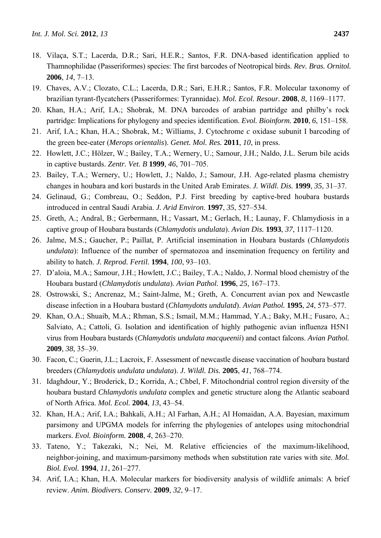- 18. Vilaça, S.T.; Lacerda, D.R.; Sari, H.E.R.; Santos, F.R. DNA-based identification applied to Thamnophilidae (Passeriformes) species: The first barcodes of Neotropical birds. *Rev. Bras. Ornitol.*  **2006**, *14*, 7–13.
- 19. Chaves, A.V.; Clozato, C.L.; Lacerda, D.R.; Sari, E.H.R.; Santos, F.R. Molecular taxonomy of brazilian tyrant-flycatchers (Passeriformes: Tyrannidae). *Mol. Ecol. Resour.* **2008**, *8*, 1169–1177.
- 20. Khan, H.A.; Arif, I.A.; Shobrak, M. DNA barcodes of arabian partridge and philby's rock partridge: Implications for phylogeny and species identification. *Evol. Bioinform.* **2010**, *6*, 151–158.
- 21. Arif, I.A.; Khan, H.A.; Shobrak, M.; Williams, J. Cytochrome *c* oxidase subunit I barcoding of the green bee-eater (*Merops orientalis*). *Genet. Mol. Res.* **2011**, *10*, in press.
- 22. Howlett, J.C.; Hölzer, W.; Bailey, T.A.; Wernery, U.; Samour, J.H.; Naldo, J.L. Serum bile acids in captive bustards. *Zentr. Vet. B* **1999**, *46*, 701–705.
- 23. Bailey, T.A.; Wernery, U.; Howlett, J.; Naldo, J.; Samour, J.H. Age-related plasma chemistry changes in houbara and kori bustards in the United Arab Emirates. *J. Wildl. Dis.* **1999**, *35*, 31–37.
- 24. Gelinaud, G.; Combreau, O.; Seddon, P.J. First breeding by captive-bred houbara bustards introduced in central Saudi Arabia. *J. Arid Environ.* **1997**, *35*, 527–534.
- 25. Greth, A.; Andral, B.; Gerbermann, H.; Vassart, M.; Gerlach, H.; Launay, F. Chlamydiosis in a captive group of Houbara bustards (*Chlamydotis undulata*). *Avian Dis.* **1993**, *37*, 1117–1120.
- 26. Jalme, M.S.; Gaucher, P.; Paillat, P. Artificial insemination in Houbara bustards (*Chlamydotis undulata*): Influence of the number of spermatozoa and insemination frequency on fertility and ability to hatch. *J. Reprod. Fertil.* **1994**, *100*, 93–103.
- 27. D'aloia, M.A.; Samour, J.H.; Howlett, J.C.; Bailey, T.A.; Naldo, J. Normal blood chemistry of the Houbara bustard (*Chlamydotis undulata*). *Avian Pathol.* **1996**, *25*, 167–173.
- 28. Ostrowski, S.; Ancrenaz, M.; Saint-Jalme, M.; Greth, A. Concurrent avian pox and Newcastle disease infection in a Houbara bustard (*Chlamydotts undulatd*). *Avian Pathol.* **1995**, *24*, 573–577.
- 29. Khan, O.A.; Shuaib, M.A.; Rhman, S.S.; Ismail, M.M.; Hammad, Y.A.; Baky, M.H.; Fusaro, A.; Salviato, A.; Cattoli, G. Isolation and identification of highly pathogenic avian influenza H5N1 virus from Houbara bustards (*Chlamydotis undulata macqueenii*) and contact falcons. *Avian Pathol.*  **2009**, *38*, 35–39.
- 30. Facon, C.; Guerin, J.L.; Lacroix, F. Assessment of newcastle disease vaccination of houbara bustard breeders (*Chlamydotis undulata undulata*). *J. Wildl. Dis.* **2005**, *41*, 768–774.
- 31. Idaghdour, Y.; Broderick, D.; Korrida, A.; Chbel, F. Mitochondrial control region diversity of the houbara bustard *Chlamydotis undulata* complex and genetic structure along the Atlantic seaboard of North Africa. *Mol. Ecol.* **2004**, *13*, 43–54.
- 32. Khan, H.A.; Arif, I.A.; Bahkali, A.H.; Al Farhan, A.H.; Al Homaidan, A.A. Bayesian, maximum parsimony and UPGMA models for inferring the phylogenies of antelopes using mitochondrial markers. *Evol. Bioinform.* **2008**, *4*, 263–270.
- 33. Tateno, Y.; Takezaki, N.; Nei, M. Relative efficiencies of the maximum-likelihood, neighbor-joining, and maximum-parsimony methods when substitution rate varies with site. *Mol. Biol. Evol.* **1994**, *11*, 261–277.
- 34. Arif, I.A.; Khan, H.A. Molecular markers for biodiversity analysis of wildlife animals: A brief review. *Anim. Biodivers. Conserv.* **2009**, *32*, 9–17.